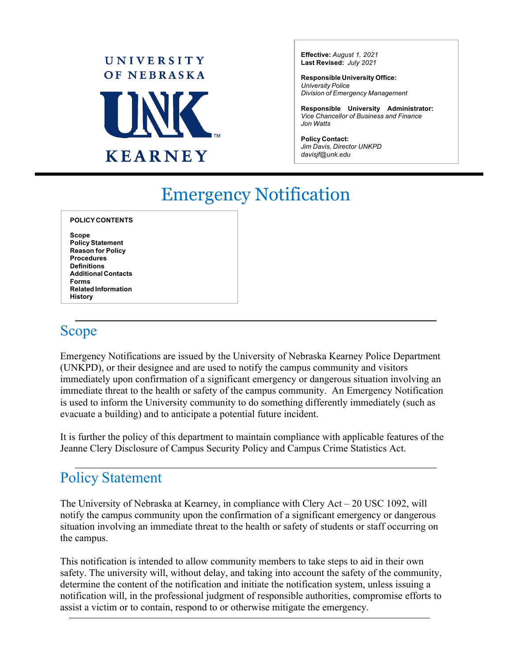

**Effective:** *August 1, 2021* **Last Revised:** *July 2021*

**Responsible University Office:** *University Police Division of Emergency Management*

**Responsible University Administrator:** *Vice Chancellor of Business and Finance Jon Watts*

**Policy Contact:** *Jim Davis, Director UNKPD davisjf@unk.edu*

# Emergency Notification

| <b>POLICY CONTENTS</b>     |  |
|----------------------------|--|
| Scope                      |  |
| <b>Policy Statement</b>    |  |
| <b>Reason for Policy</b>   |  |
| <b>Procedures</b>          |  |
| Definitions                |  |
| <b>Additional Contacts</b> |  |
| Forms                      |  |
| <b>Related Information</b> |  |
| History                    |  |

## Scope

Emergency Notifications are issued by the University of Nebraska Kearney Police Department (UNKPD), or their designee and are used to notify the campus community and visitors immediately upon confirmation of a significant emergency or dangerous situation involving an immediate threat to the health or safety of the campus community. An Emergency Notification is used to inform the University community to do something differently immediately (such as evacuate a building) and to anticipate a potential future incident.

It is further the policy of this department to maintain compliance with applicable features of the Jeanne Clery Disclosure of Campus Security Policy and Campus Crime Statistics Act.

## Policy Statement

The University of Nebraska at Kearney, in compliance with Clery Act  $-20$  USC 1092, will notify the campus community upon the confirmation of a significant emergency or dangerous situation involving an immediate threat to the health or safety of students or staff occurring on the campus.

This notification is intended to allow community members to take steps to aid in their own safety. The university will, without delay, and taking into account the safety of the community, determine the content of the notification and initiate the notification system, unless issuing a notification will, in the professional judgment of responsible authorities, compromise efforts to assist a victim or to contain, respond to or otherwise mitigate the emergency.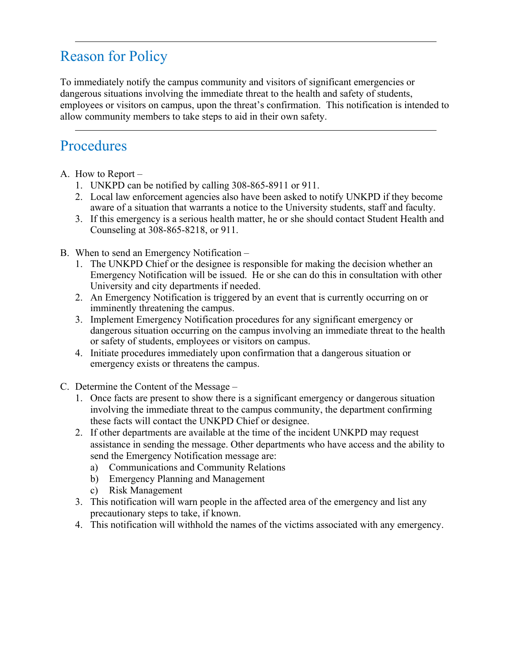# Reason for Policy

To immediately notify the campus community and visitors of significant emergencies or dangerous situations involving the immediate threat to the health and safety of students, employees or visitors on campus, upon the threat's confirmation. This notification is intended to allow community members to take steps to aid in their own safety.

## Procedures

- A. How to Report
	- 1. UNKPD can be notified by calling 308-865-8911 or 911.
	- 2. Local law enforcement agencies also have been asked to notify UNKPD if they become aware of a situation that warrants a notice to the University students, staff and faculty.
	- 3. If this emergency is a serious health matter, he or she should contact Student Health and Counseling at 308-865-8218, or 911.
- B. When to send an Emergency Notification
	- 1. The UNKPD Chief or the designee is responsible for making the decision whether an Emergency Notification will be issued. He or she can do this in consultation with other University and city departments if needed.
	- 2. An Emergency Notification is triggered by an event that is currently occurring on or imminently threatening the campus.
	- 3. Implement Emergency Notification procedures for any significant emergency or dangerous situation occurring on the campus involving an immediate threat to the health or safety of students, employees or visitors on campus.
	- 4. Initiate procedures immediately upon confirmation that a dangerous situation or emergency exists or threatens the campus.
- C. Determine the Content of the Message
	- 1. Once facts are present to show there is a significant emergency or dangerous situation involving the immediate threat to the campus community, the department confirming these facts will contact the UNKPD Chief or designee.
	- 2. If other departments are available at the time of the incident UNKPD may request assistance in sending the message. Other departments who have access and the ability to send the Emergency Notification message are:
		- a) Communications and Community Relations
		- b) Emergency Planning and Management
		- c) Risk Management
	- 3. This notification will warn people in the affected area of the emergency and list any precautionary steps to take, if known.
	- 4. This notification will withhold the names of the victims associated with any emergency.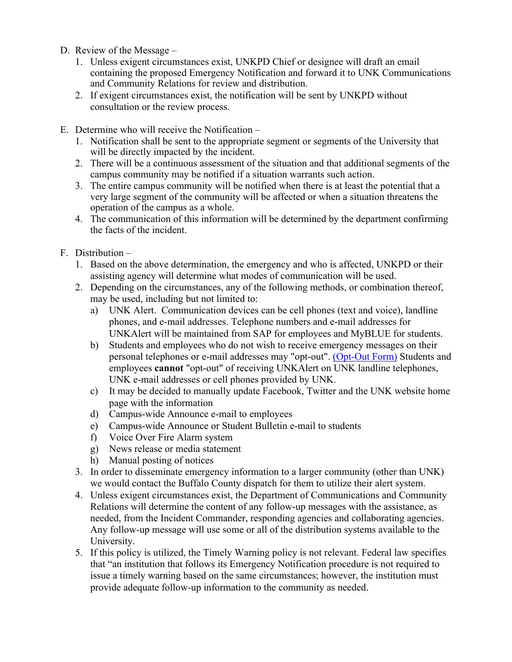- D. Review of the Message
	- 1. Unless exigent circumstances exist, UNKPD Chief or designee will draft an email containing the proposed Emergency Notification and forward it to UNK Communications and Community Relations for review and distribution.
	- 2. If exigent circumstances exist, the notification will be sent by UNKPD without consultation or the review process.
- E. Determine who will receive the Notification
	- 1. Notification shall be sent to the appropriate segment or segments of the University that will be directly impacted by the incident.
	- 2. There will be a continuous assessment of the situation and that additional segments of the campus community may be notified if a situation warrants such action.
	- 3. The entire campus community will be notified when there is at least the potential that a very large segment of the community will be affected or when a situation threatens the operation of the campus as a whole.
	- 4. The communication of this information will be determined by the department confirming the facts of the incident.
- F. Distribution
	- 1. Based on the above determination, the emergency and who is affected, UNKPD or their assisting agency will determine what modes of communication will be used.
	- 2. Depending on the circumstances, any of the following methods, or combination thereof, may be used, including but not limited to:
		- a) UNK Alert. Communication devices can be cell phones (text and voice), landline phones, and e-mail addresses. Telephone numbers and e-mail addresses for UNKAlert will be maintained from SAP for employees and MyBLUE for students.
		- b) Students and employees who do not wish to receive emergency messages on their personal telephones or e-mail addresses may "opt-out". (Opt-Out Form) Students and employees **cannot** "opt-out" of receiving UNKAlert on UNK landline telephones, UNK e-mail addresses or cell phones provided by UNK.
		- c) It may be decided to manually update Facebook, Twitter and the UNK website home page with the information
		- d) Campus-wide Announce e-mail to employees
		- e) Campus-wide Announce or Student Bulletin e-mail to students
		- f) Voice Over Fire Alarm system
		- g) News release or media statement
		- h) Manual posting of notices
	- 3. In order to disseminate emergency information to a larger community (other than UNK) we would contact the Buffalo County dispatch for them to utilize their alert system.
	- 4. Unless exigent circumstances exist, the Department of Communications and Community Relations will determine the content of any follow-up messages with the assistance, as needed, from the Incident Commander, responding agencies and collaborating agencies. Any follow-up message will use some or all of the distribution systems available to the University.
	- 5. If this policy is utilized, the Timely Warning policy is not relevant. Federal law specifies that "an institution that follows its Emergency Notification procedure is not required to issue a timely warning based on the same circumstances; however, the institution must provide adequate follow-up information to the community as needed.